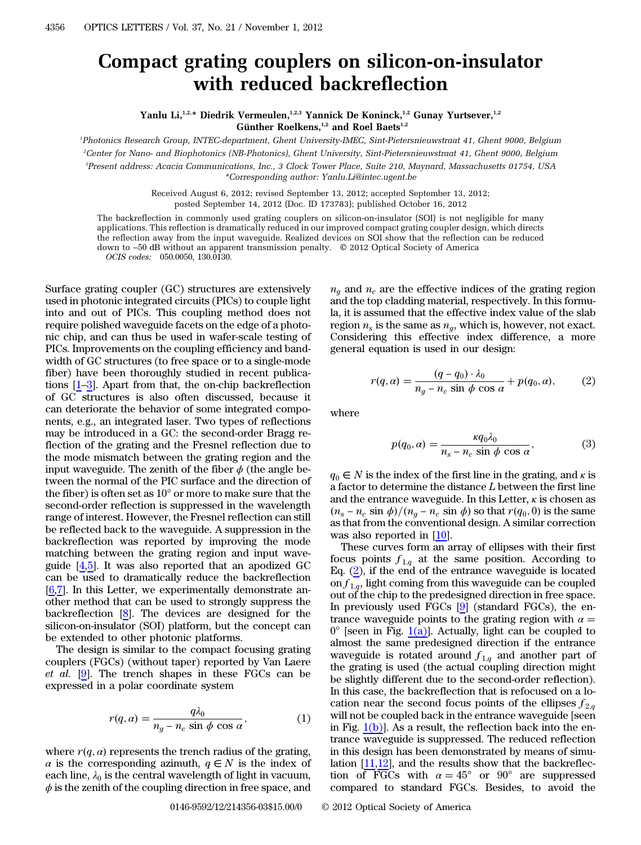## Compact grating couplers on silicon-on-insulator with reduced backreflection

Yanlu Li,<sup>1,2,\*</sup> Diedrik Vermeulen,<sup>1,2,3</sup> Yannick De Koninck,<sup>1,2</sup> Gunay Yurtsever,<sup>1,2</sup> Günther Roelkens,<sup>1,2</sup> and Roel Baets<sup>1,2</sup>

1 Photonics Research Group, INTEC-department, Ghent University-IMEC, Sint-Pietersnieuwstraat 41, Ghent 9000, Belgium 2 Center for Nano- and Biophotonics (NB-Photonics), Ghent University, Sint-Pietersnieuwstraat 41, Ghent 9000, Belgium

3 Present address: Acacia Communications, Inc., 3 Clock Tower Place, Suite 210, Maynard, Massachusetts 01754, USA

\*Corresponding author: Yanlu.Li@intec.ugent.be

Received August 6, 2012; revised September 13, 2012; accepted September 13, 2012; posted September 14, 2012 (Doc. ID 173783); published October 16, 2012

The backreflection in commonly used grating couplers on silicon-on-insulator (SOI) is not negligible for many applications. This reflection is dramatically reduced in our improved compact grating coupler design, which directs the reflection away from the input waveguide. Realized devices on SOI show that the reflection can be reduced down to *−*50 dB without an apparent transmission penalty. © 2012 Optical Society of America OCIS codes: 050.0050, 130.0130.

Surface grating coupler (GC) structures are extensively used in photonic integrated circuits (PICs) to couple light into and out of PICs. This coupling method does not require polished waveguide facets on the edge of a photonic chip, and can thus be used in wafer-scale testing of PICs. Improvements on the coupling efficiency and bandwidth of GC structures (to free space or to a single-mode fiber) have been thoroughly studied in recent publications [\[1](#page-2-0)–[3](#page-2-1)]. Apart from that, the on-chip backreflection of GC structures is also often discussed, because it can deteriorate the behavior of some integrated components, e.g., an integrated laser. Two types of reflections may be introduced in a GC: the second-order Bragg reflection of the grating and the Fresnel reflection due to the mode mismatch between the grating region and the input waveguide. The zenith of the fiber  $\phi$  (the angle between the normal of the PIC surface and the direction of the fiber) is often set as 10° or more to make sure that the second-order reflection is suppressed in the wavelength range of interest. However, the Fresnel reflection can still be reflected back to the waveguide. A suppression in the backreflection was reported by improving the mode matching between the grating region and input waveguide [[4,](#page-2-2)[5](#page-2-3)]. It was also reported that an apodized GC can be used to dramatically reduce the backreflection  $[6,7]$  $[6,7]$  $[6,7]$ . In this Letter, we experimentally demonstrate another method that can be used to strongly suppress the backreflection [\[8\]](#page-2-6). The devices are designed for the silicon-on-insulator (SOI) platform, but the concept can be extended to other photonic platforms.

The design is similar to the compact focusing grating couplers (FGCs) (without taper) reported by Van Laere  $et \ al.$  [\[9](#page-2-7)]. The trench shapes in these FGCs can be expressed in a polar coordinate system

$$
r(q, \alpha) = \frac{q\lambda_0}{n_g - n_c \sin \phi \cos \alpha},
$$
 (1)

where  $r(q, \alpha)$  represents the trench radius of the grating,<br> $\alpha$  is the corresponding azimuth  $q \in N$  is the index of  $\alpha$  is the corresponding azimuth,  $q \in N$  is the index of each line,  $\lambda_0$  is the central wavelength of light in vacuum,  $\phi$  is the zenith of the coupling direction in free space, and

 $n_a$  and  $n_c$  are the effective indices of the grating region and the top cladding material, respectively. In this formula, it is assumed that the effective index value of the slab region  $n_s$  is the same as  $n_q$ , which is, however, not exact. Considering this effective index difference, a more general equation is used in our design:

<span id="page-0-0"></span>
$$
r(q, \alpha) = \frac{(q - q_0) \cdot \lambda_0}{n_g - n_c \sin \phi \cos \alpha} + p(q_0, \alpha), \quad (2)
$$

where

$$
p(q_0, \alpha) = \frac{\kappa q_0 \lambda_0}{n_s - n_c \sin \phi \cos \alpha},
$$
 (3)

 $q_0 \in N$  is the index of the first line in the grating, and  $\kappa$  is a factor to determine the distance L between the first line and the entrance waveguide. In this Letter,  $\kappa$  is chosen as  $(n_s - n_c \sin \phi) / (n_g - n_c \sin \phi)$  so that  $r(q_0, 0)$  is the same<br>as that from the conventional design A similar correction as that from the conventional design. A similar correction was also reported in [[10\]](#page-2-8).

These curves form an array of ellipses with their first focus points  $f_{1,q}$  at the same position. According to Eq.  $(2)$  $(2)$ , if the end of the entrance waveguide is located on  $f_{1,q}$ , light coming from this waveguide can be coupled out of the chip to the predesigned direction in free space. In previously used FGCs [\[9](#page-2-7)] (standard FGCs), the entrance waveguide points to the grating region with  $\alpha =$  $0^{\circ}$  [seen in Fig. [1\(a\)\]](#page-1-0). Actually, light can be coupled to almost the same predesigned direction if the entrance waveguide is rotated around  $f_{1,q}$  and another part of the grating is used (the actual coupling direction might be slightly different due to the second-order reflection). In this case, the backreflection that is refocused on a location near the second focus points of the ellipses  $f_{2,q}$ will not be coupled back in the entrance waveguide [seen in Fig.  $1(b)$ ]. As a result, the reflection back into the entrance waveguide is suppressed. The reduced reflection in this design has been demonstrated by means of simulation [[11,](#page-2-9)[12](#page-2-10)], and the results show that the backreflection of FGCs with  $\alpha = 45^{\circ}$  or  $90^{\circ}$  are suppressed compared to standard FGCs. Besides, to avoid the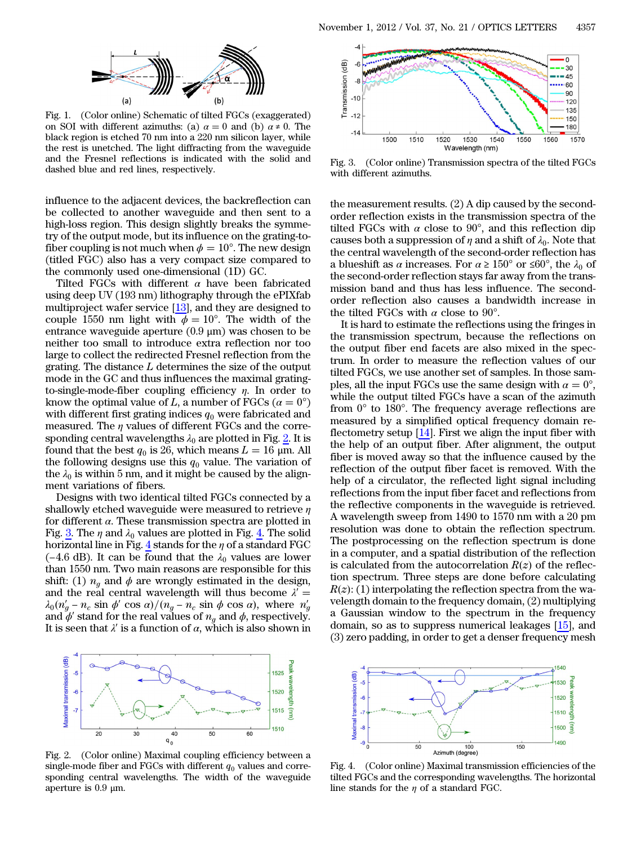<span id="page-1-0"></span>

Fig. 1. (Color online) Schematic of tilted FGCs (exaggerated) on SOI with different azimuths: (a)  $\alpha = 0$  and (b)  $\alpha \neq 0$ . The black region is etched 70 nm into a 220 nm silicon layer, while the rest is unetched. The light diffracting from the waveguide and the Fresnel reflections is indicated with the solid and dashed blue and red lines, respectively.

influence to the adjacent devices, the backreflection can be collected to another waveguide and then sent to a high-loss region. This design slightly breaks the symmetry of the output mode, but its influence on the grating-tofiber coupling is not much when  $\phi = 10^{\circ}$ . The new design (titled FGC) also has a very compact size compared to the commonly used one-dimensional (1D) GC.

Tilted FGCs with different  $\alpha$  have been fabricated using deep UV (193 nm) lithography through the ePIXfab multiproject wafer service  $[13]$  $[13]$ , and they are designed to couple 1550 nm light with  $\phi = 10^{\circ}$ . The width of the entrance waveguide aperture (0.9 μm) was chosen to be neither too small to introduce extra reflection nor too large to collect the redirected Fresnel reflection from the grating. The distance  $L$  determines the size of the output mode in the GC and thus influences the maximal gratingto-single-mode-fiber coupling efficiency  $\eta$ . In order to know the optimal value of L, a number of FGCs ( $\alpha = 0^{\circ}$ ) with different first grating indices  $q_0$  were fabricated and measured. The  $\eta$  values of different FGCs and the corresponding central wavelengths  $\lambda_0$  are plotted in Fig. [2](#page-1-1). It is found that the best  $q_0$  is 26, which means  $L = 16$  µm. All the following designs use this  $q_0$  value. The variation of the  $\lambda_0$  is within 5 nm, and it might be caused by the alignment variations of fibers.

Designs with two identical tilted FGCs connected by a shallowly etched waveguide were measured to retrieve  $\eta$ for different  $\alpha$ . These transmission spectra are plotted in Fig. [3.](#page-1-2) The  $\eta$  and  $\lambda_0$  values are plotted in Fig. [4.](#page-1-3) The solid horizontal line in Fig. [4](#page-1-3) stands for the  $\eta$  of a standard FGC (−4.6 dB). It can be found that the  $\lambda_0$  values are lower than 1550 nm. Two main reasons are responsible for this shift: (1)  $n_q$  and  $\phi$  are wrongly estimated in the design, and the real central wavelength will thus become  $\lambda' =$  $\lambda_0(n'_g - n_c \sin \phi' \cos \alpha) / (n_g - n_c \sin \phi \cos \alpha)$ , where  $n'_g$ <br>and  $\phi'$  stand for the real values of  $n_e$  and  $\phi$  respectively and  $\phi'$  stand for the real values of  $n_g$  and  $\phi$ , respectively.<br>It is seen that  $\lambda'$  is a function of  $\alpha$  which is also shown in It is seen that  $\lambda'$  is a function of  $\alpha$ , which is also shown in

<span id="page-1-1"></span>

Fig. 2. (Color online) Maximal coupling efficiency between a single-mode fiber and FGCs with different  $q_0$  values and corresponding central wavelengths. The width of the waveguide aperture is 0.9 μm.

<span id="page-1-2"></span>

Fig. 3. (Color online) Transmission spectra of the tilted FGCs with different azimuths.

the measurement results. (2) A dip caused by the secondorder reflection exists in the transmission spectra of the tilted FGCs with  $\alpha$  close to 90°, and this reflection dip causes both a suppression of  $\eta$  and a shift of  $\lambda_0$ . Note that the central wavelength of the second-order reflection has a blueshift as  $\alpha$  increases. For  $\alpha \ge 150^{\circ}$  or  $\le 60^{\circ}$ , the  $\lambda_0$  of the second-order reflection stays far away from the transmission band and thus has less influence. The secondorder reflection also causes a bandwidth increase in the tilted FGCs with  $\alpha$  close to 90°.

It is hard to estimate the reflections using the fringes in the transmission spectrum, because the reflections on the output fiber end facets are also mixed in the spectrum. In order to measure the reflection values of our tilted FGCs, we use another set of samples. In those samples, all the input FGCs use the same design with  $\alpha = 0^{\circ}$ , while the output tilted FGCs have a scan of the azimuth from 0° to 180°. The frequency average reflections are measured by a simplified optical frequency domain reflectometry setup [\[14](#page-2-12)]. First we align the input fiber with the help of an output fiber. After alignment, the output fiber is moved away so that the influence caused by the reflection of the output fiber facet is removed. With the help of a circulator, the reflected light signal including reflections from the input fiber facet and reflections from the reflective components in the waveguide is retrieved. A wavelength sweep from 1490 to 1570 nm with a 20 pm resolution was done to obtain the reflection spectrum. The postprocessing on the reflection spectrum is done in a computer, and a spatial distribution of the reflection is calculated from the autocorrelation  $R(z)$  of the reflection spectrum. Three steps are done before calculating tion spectrum. Three steps are done before calculating  $\kappa(z)$ : (1) interpolating the reflection spectra from the wa-<br>velength domain to the frequency domain, (2) multiplying  $R(z)$ : (1) interpolating the reflection spectra from the waa Gaussian window to the spectrum in the frequency domain, so as to suppress numerical leakages [[15\]](#page-2-13), and (3) zero padding, in order to get a denser frequency mesh

<span id="page-1-3"></span>

Fig. 4. (Color online) Maximal transmission efficiencies of the tilted FGCs and the corresponding wavelengths. The horizontal line stands for the  $\eta$  of a standard FGC.